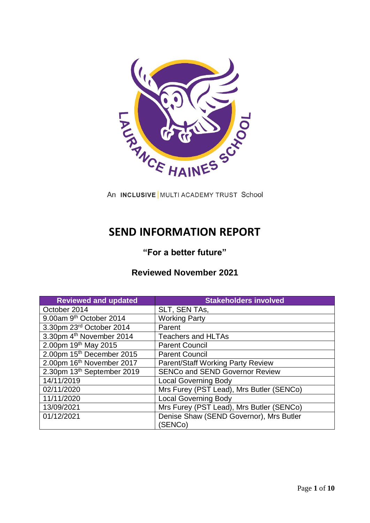

An INCLUSIVE MULTI ACADEMY TRUST School

# **SEND INFORMATION REPORT**

# **"For a better future"**

# **Reviewed November 2021**

| <b>Reviewed and updated</b>           | <b>Stakeholders involved</b>                       |
|---------------------------------------|----------------------------------------------------|
| October 2014                          | SLT, SEN TAs,                                      |
| 9.00am 9th October 2014               | <b>Working Party</b>                               |
| 3.30pm 23rd October 2014              | Parent                                             |
| 3.30pm 4 <sup>th</sup> November 2014  | <b>Teachers and HLTAs</b>                          |
| 2.00pm 19th May 2015                  | <b>Parent Council</b>                              |
| 2.00pm 15 <sup>th</sup> December 2015 | <b>Parent Council</b>                              |
| 2.00pm 16 <sup>th</sup> November 2017 | <b>Parent/Staff Working Party Review</b>           |
| 2.30pm 13th September 2019            | <b>SENCo and SEND Governor Review</b>              |
| 14/11/2019                            | <b>Local Governing Body</b>                        |
| 02/11/2020                            | Mrs Furey (PST Lead), Mrs Butler (SENCo)           |
| 11/11/2020                            | <b>Local Governing Body</b>                        |
| 13/09/2021                            | Mrs Furey (PST Lead), Mrs Butler (SENCo)           |
| 01/12/2021                            | Denise Shaw (SEND Governor), Mrs Butler<br>(SENCo) |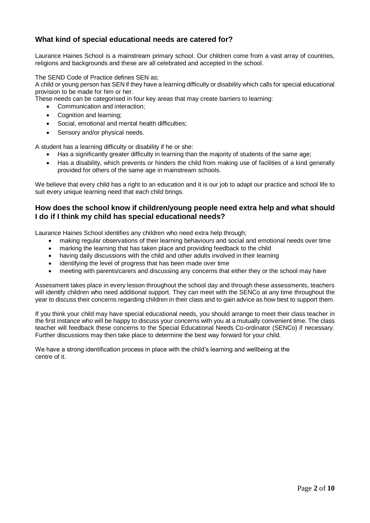# **What kind of special educational needs are catered for?**

Laurance Haines School is a mainstream primary school. Our children come from a vast array of countries, religions and backgrounds and these are all celebrated and accepted in the school.

The SEND Code of Practice defines SEN as;

A child or young person has SEN if they have a learning difficulty or disability which calls for special educational provision to be made for him or her.

These needs can be categorised in four key areas that may create barriers to learning:

• Communication and interaction:

- Cognition and learning;
- Social, emotional and mental health difficulties;
- Sensory and/or physical needs.

A student has a learning difficulty or disability if he or she:

- Has a significantly greater difficulty in learning than the majority of students of the same age;
- Has a disability, which prevents or hinders the child from making use of facilities of a kind generally provided for others of the same age in mainstream schools.

We believe that every child has a right to an education and it is our job to adapt our practice and school life to suit every unique learning need that each child brings.

#### **How does the school know if children/young people need extra help and what should I do if I think my child has special educational needs?**

Laurance Haines School identifies any children who need extra help through;

- making regular observations of their learning behaviours and social and emotional needs over time
- marking the learning that has taken place and providing feedback to the child
- having daily discussions with the child and other adults involved in their learning
- identifying the level of progress that has been made over time
- meeting with parents/carers and discussing any concerns that either they or the school may have

Assessment takes place in every lesson throughout the school day and through these assessments, teachers will identify children who need additional support. They can meet with the SENCo at any time throughout the year to discuss their concerns regarding children in their class and to gain advice as how best to support them.

If you think your child may have special educational needs, you should arrange to meet their class teacher in the first instance who will be happy to discuss your concerns with you at a mutually convenient time. The class teacher will feedback these concerns to the Special Educational Needs Co-ordinator (SENCo) if necessary. Further discussions may then take place to determine the best way forward for your child.

We have a strong identification process in place with the child's learning and wellbeing at the centre of it.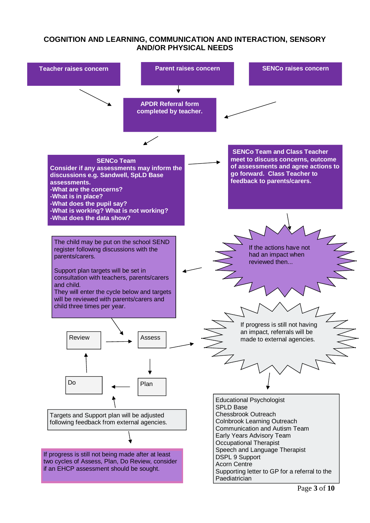# **COGNITION AND LEARNING, COMMUNICATION AND INTERACTION, SENSORY AND/OR PHYSICAL NEEDS**

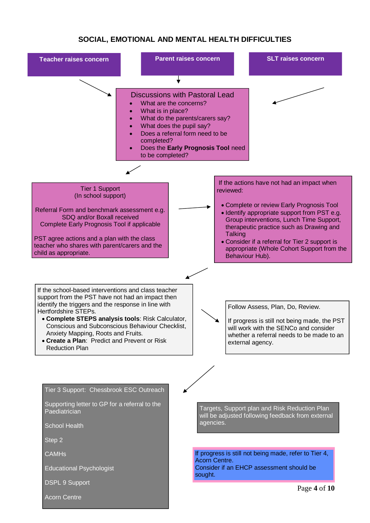# **SOCIAL, EMOTIONAL AND MENTAL HEALTH DIFFICULTIES**

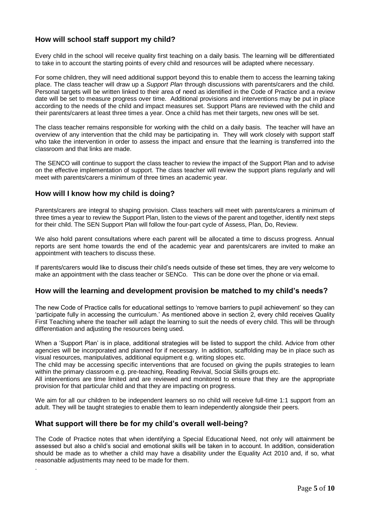# **How will school staff support my child?**

Every child in the school will receive quality first teaching on a daily basis. The learning will be differentiated to take in to account the starting points of every child and resources will be adapted where necessary.

For some children, they will need additional support beyond this to enable them to access the learning taking place. The class teacher will draw up a *Support Plan* through discussions with parents/carers and the child. Personal targets will be written linked to their area of need as identified in the Code of Practice and a review date will be set to measure progress over time. Additional provisions and interventions may be put in place according to the needs of the child and impact measures set. Support Plans are reviewed with the child and their parents/carers at least three times a year. Once a child has met their targets, new ones will be set.

The class teacher remains responsible for working with the child on a daily basis. The teacher will have an overview of any intervention that the child may be participating in. They will work closely with support staff who take the intervention in order to assess the impact and ensure that the learning is transferred into the classroom and that links are made.

The SENCO will continue to support the class teacher to review the impact of the Support Plan and to advise on the effective implementation of support. The class teacher will review the support plans regularly and will meet with parents/carers a minimum of three times an academic year.

#### **How will I know how my child is doing?**

Parents/carers are integral to shaping provision. Class teachers will meet with parents/carers a minimum of three times a year to review the Support Plan, listen to the views of the parent and together, identify next steps for their child. The SEN Support Plan will follow the four-part cycle of Assess, Plan, Do, Review.

We also hold parent consultations where each parent will be allocated a time to discuss progress. Annual reports are sent home towards the end of the academic year and parents/carers are invited to make an appointment with teachers to discuss these.

If parents/carers would like to discuss their child's needs outside of these set times, they are very welcome to make an appointment with the class teacher or SENCo. This can be done over the phone or via email.

#### **How will the learning and development provision be matched to my child's needs?**

The new Code of Practice calls for educational settings to 'remove barriers to pupil achievement' so they can 'participate fully in accessing the curriculum.' As mentioned above in section 2, every child receives Quality First Teaching where the teacher will adapt the learning to suit the needs of every child. This will be through differentiation and adjusting the resources being used.

When a 'Support Plan' is in place, additional strategies will be listed to support the child. Advice from other agencies will be incorporated and planned for if necessary. In addition, scaffolding may be in place such as visual resources, manipulatives, additional equipment e.g. writing slopes etc.

The child may be accessing specific interventions that are focused on giving the pupils strategies to learn within the primary classroom e.g. pre-teaching, Reading Revival, Social Skills groups etc.

All interventions are time limited and are reviewed and monitored to ensure that they are the appropriate provision for that particular child and that they are impacting on progress.

We aim for all our children to be independent learners so no child will receive full-time 1:1 support from an adult. They will be taught strategies to enable them to learn independently alongside their peers.

#### **What support will there be for my child's overall well-being?**

.

The Code of Practice notes that when identifying a Special Educational Need, not only will attainment be assessed but also a child's social and emotional skills will be taken in to account. In addition, consideration should be made as to whether a child may have a disability under the Equality Act 2010 and, if so, what reasonable adjustments may need to be made for them.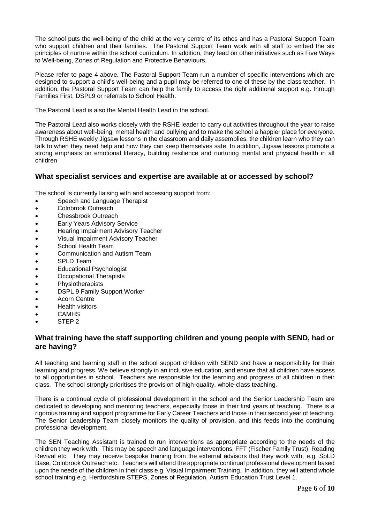The school puts the well-being of the child at the very centre of its ethos and has a Pastoral Support Team who support children and their families. The Pastoral Support Team work with all staff to embed the six principles of nurture within the school curriculum. In addition, they lead on other initiatives such as Five Ways to Well-being, Zones of Regulation and Protective Behaviours.

Please refer to page 4 above. The Pastoral Support Team run a number of specific interventions which are designed to support a child's well-being and a pupil may be referred to one of these by the class teacher. In addition, the Pastoral Support Team can help the family to access the right additional support e.g. through Families First, DSPL9 or referrals to School Health.

The Pastoral Lead is also the Mental Health Lead in the school.

The Pastoral Lead also works closely with the RSHE leader to carry out activities throughout the year to raise awareness about well-being, mental health and bullying and to make the school a happier place for everyone. Through RSHE weekly Jigsaw lessons in the classroom and daily assemblies, the children learn who they can talk to when they need help and how they can keep themselves safe. In addition, Jigsaw lessons promote a strong emphasis on emotional literacy, building resilience and nurturing mental and physical health in all children

#### **What specialist services and expertise are available at or accessed by school?**

The school is currently liaising with and accessing support from:

- Speech and Language Therapist
- Colnbrook Outreach
- Chessbrook Outreach
- Early Years Advisory Service
- **•** Hearing Impairment Advisory Teacher
- Visual Impairment Advisory Teacher
- School Health Team
- Communication and Autism Team
- SPLD Team
- Educational Psychologist
- Occupational Therapists
- **•** Physiotherapists
- DSPL 9 Family Support Worker
- Acorn Centre
- Health visitors
- **CAMHS**
- STEP<sub>2</sub>

#### **What training have the staff supporting children and young people with SEND, had or are having?**

All teaching and learning staff in the school support children with SEND and have a responsibility for their learning and progress. We believe strongly in an inclusive education, and ensure that all children have access to all opportunities in school. Teachers are responsible for the learning and progress of all children in their class. The school strongly prioritises the provision of high-quality, whole-class teaching.

There is a continual cycle of professional development in the school and the Senior Leadership Team are dedicated to developing and mentoring teachers, especially those in their first years of teaching. There is a rigorous training and support programme for Early Career Teachers and those in their second year of teaching. The Senior Leadership Team closely monitors the quality of provision, and this feeds into the continuing professional development.

The SEN Teaching Assistant is trained to run interventions as appropriate according to the needs of the children they work with. This may be speech and language interventions, FFT (Fischer Family Trust), Reading Revival etc. They may receive bespoke training from the external advisors that they work with, e.g. SpLD Base, Colnbrook Outreach etc. Teachers will attend the appropriate continual professional development based upon the needs of the children in their class e.g. Visual Impairment Training. In addition, they will attend whole school training e.g. Hertfordshire STEPS, Zones of Regulation, Autism Education Trust Level 1.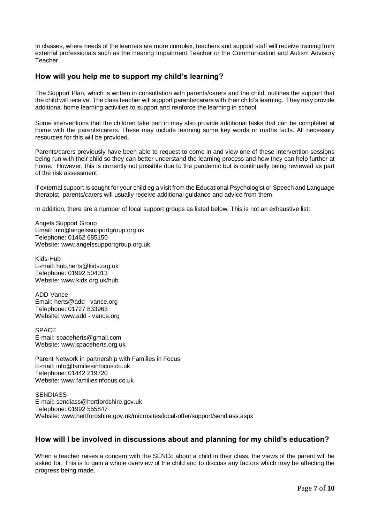In classes, where needs of the learners are more complex, teachers and support staff will receive training from external professionals such as the Hearing Impairment Teacher or the Communication and Autism Advisory Teacher.

#### **How will you help me to support my child's learning?**

The Support Plan, which is written in consultation with parents/carers and the child, outlines the support that the child will receive. The class teacher will support parents/carers with their child's learning. They may provide additional home learning activities to support and reinforce the learning in school.

Some interventions that the children take part in may also provide additional tasks that can be completed at home with the parents/carers. These may include learning some key words or maths facts. All necessary resources for this will be provided.

Parents/carers previously have been able to request to come in and view one of these intervention sessions being run with their child so they can better understand the learning process and how they can help further at home. However, this is currently not possible due to the pandemic but is continually being reviewed as part of the risk assessment.

If external support is sought for your child eg a visit from the Educational Psychologist or Speech and Language therapist, parents/carers will usually receive additional guidance and advice from them.

In addition, there are a number of local support groups as listed below. This is not an exhaustive list:

Angels Support Group Email: [info@angelssupportgroup.org.uk](mailto:info@angelssupportgroup.org.uk) Telephone: 01462 685150 Website: [www.angelssupportgroup.org.uk](http://www.angelssupportgroup.org.uk/)

Kids-Hub E-mail[: hub.herts@kids.org.uk](mailto:hub.herts@kids.org.uk) Telephone: 01992 504013 Website: [www.kids.org.uk/hub](http://www.kids.org.uk/hub)

ADD-Vance Email: herts@add - vance.org Telephone: 01727 833963 Website: [www.add](http://www.add/) - vance.org

SPACE E-mail[: spaceherts@gmail.com](mailto:spaceherts@gmail.com) Website: [www.spaceherts.org.uk](http://www.spaceherts.org.uk/)

Parent Network in partnership with Families in Focus E-mail[: info@familiesinfocus.co.uk](mailto:info@familiesinfocus.co.uk) Telephone: 01442 219720 Website: [www.familiesinfocus.co.uk](http://www.familiesinfocus.co.uk/)

**SENDIASS** E-mail[: sendiass@hertfordshire.gov.uk](mailto:sendiass@hertfordshire.gov.uk) Telephone: 01992 555847 Website: [www.hertfordshire.gov.uk/microsites/local-offer/support/sendiass.aspx](http://www.hertfordshire.gov.uk/microsites/local-offer/support/sendiass.aspx)

# **How will I be involved in discussions about and planning for my child's education?**

When a teacher raises a concern with the SENCo about a child in their class, the views of the parent will be asked for. This is to gain a whole overview of the child and to discuss any factors which may be affecting the progress being made.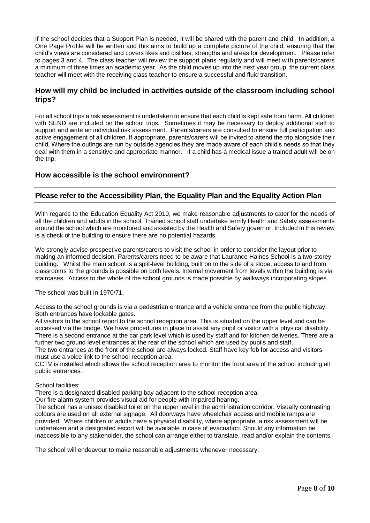If the school decides that a Support Plan is needed, it will be shared with the parent and child. In addition, a One Page Profile will be written and this aims to build up a complete picture of the child, ensuring that the child's views are considered and covers likes and dislikes, strengths and areas for development. Please refer to pages 3 and 4. The class teacher will review the support plans regularly and will meet with parents/carers a minimum of three times an academic year. As the child moves up into the next year group, the current class teacher will meet with the receiving class teacher to ensure a successful and fluid transition.

#### **How will my child be included in activities outside of the classroom including school trips?**

For all school trips a risk assessment is undertaken to ensure that each child is kept safe from harm. All children with SEND are included on the school trips. Sometimes it may be necessary to deploy additional staff to support and write an individual risk assessment. Parents/carers are consulted to ensure full participation and active engagement of all children. If appropriate, parents/carers will be invited to attend the trip alongside their child. Where the outings are run by outside agencies they are made aware of each child's needs so that they deal with them in a sensitive and appropriate manner. If a child has a medical issue a trained adult will be on the trip.

#### **How accessible is the school environment?**

#### **Please refer to the Accessibility Plan, the Equality Plan and the Equality Action Plan**

With regards to the Education Equality Act 2010, we make reasonable adjustments to cater for the needs of all the children and adults in the school. Trained school staff undertake termly Health and Safety assessments around the school which are monitored and assisted by the Health and Safety governor. Included in this review is a check of the building to ensure there are no potential hazards.

We strongly advise prospective parents/carers to visit the school in order to consider the layout prior to making an informed decision. Parents/carers need to be aware that Laurance Haines School is a two-storey building. Whilst the main school is a split-level building, built on to the side of a slope, access to and from classrooms to the grounds is possible on both levels. Internal movement from levels within the building is via staircases. Access to the whole of the school grounds is made possible by walkways incorporating slopes.

The school was built in 1970/71.

Access to the school grounds is via a pedestrian entrance and a vehicle entrance from the public highway. Both entrances have lockable gates.

All visitors to the school report to the school reception area. This is situated on the upper level and can be accessed via the bridge. We have procedures in place to assist any pupil or visitor with a physical disability. There is a second entrance at the car park level which is used by staff and for kitchen deliveries. There are a further two ground level entrances at the rear of the school which are used by pupils and staff.

The two entrances at the front of the school are always locked. Staff have key fob for access and visitors must use a voice link to the school reception area.

CCTV is installed which allows the school reception area to monitor the front area of the school including all public entrances.

#### School facilities:

There is a designated disabled parking bay adjacent to the school reception area.

Our fire alarm system provides visual aid for people with impaired hearing.

The school has a unisex disabled toilet on the upper level in the administration corridor. Visually contrasting colours are used on all external signage. All doorways have wheelchair access and mobile ramps are provided. Where children or adults have a physical disability, where appropriate, a risk assessment will be undertaken and a designated escort will be available in case of evacuation. Should any information be inaccessible to any stakeholder, the school can arrange either to translate, read and/or explain the contents.

The school will endeavour to make reasonable adjustments whenever necessary.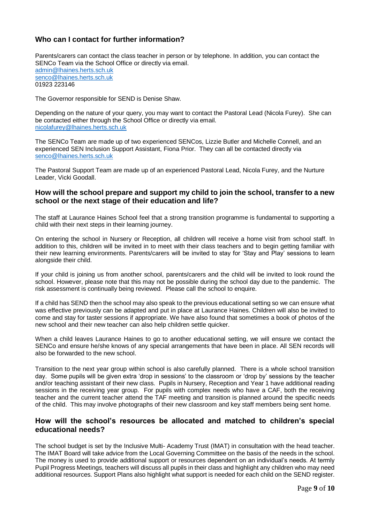# **Who can I contact for further information?**

Parents/carers can contact the class teacher in person or by telephone. In addition, you can contact the SENCo Team via the School Office or directly via email. [admin@lhaines.herts.sch.uk](mailto:admin@lhaines.herts.sch.uk) [senco@lhaines.herts.sch.uk](mailto:senco@lhaines.herts.sch.uk) 01923 223146

The Governor responsible for SEND is Denise Shaw.

Depending on the nature of your query, you may want to contact the Pastoral Lead (Nicola Furey). She can be contacted either through the School Office or directly via email. [nicolafurey@lhaines.herts.sch.uk](mailto:nicolafurey@lhaines.herts.sch.uk)

The SENCo Team are made up of two experienced SENCos, Lizzie Butler and Michelle Connell, and an experienced SEN Inclusion Support Assistant, Fiona Prior. They can all be contacted directly via [senco@lhaines.herts.sch.uk](mailto:senco@lhaines.herts.sch.uk)

The Pastoral Support Team are made up of an experienced Pastoral Lead, Nicola Furey, and the Nurture Leader, Vicki Goodall.

#### **How will the school prepare and support my child to join the school, transfer to a new school or the next stage of their education and life?**

The staff at Laurance Haines School feel that a strong transition programme is fundamental to supporting a child with their next steps in their learning journey.

On entering the school in Nursery or Reception, all children will receive a home visit from school staff. In addition to this, children will be invited in to meet with their class teachers and to begin getting familiar with their new learning environments. Parents/carers will be invited to stay for 'Stay and Play' sessions to learn alongside their child.

If your child is joining us from another school, parents/carers and the child will be invited to look round the school. However, please note that this may not be possible during the school day due to the pandemic. The risk assessment is continually being reviewed. Please call the school to enquire.

If a child has SEND then the school may also speak to the previous educational setting so we can ensure what was effective previously can be adapted and put in place at Laurance Haines. Children will also be invited to come and stay for taster sessions if appropriate. We have also found that sometimes a book of photos of the new school and their new teacher can also help children settle quicker.

When a child leaves Laurance Haines to go to another educational setting, we will ensure we contact the SENCo and ensure he/she knows of any special arrangements that have been in place. All SEN records will also be forwarded to the new school.

Transition to the next year group within school is also carefully planned. There is a whole school transition day. Some pupils will be given extra 'drop in sessions' to the classroom or 'drop by' sessions by the teacher and/or teaching assistant of their new class. Pupils in Nursery, Reception and Year 1 have additional reading sessions in the receiving year group. For pupils with complex needs who have a CAF, both the receiving teacher and the current teacher attend the TAF meeting and transition is planned around the specific needs of the child. This may involve photographs of their new classroom and key staff members being sent home.

#### **How will the school's resources be allocated and matched to children's special educational needs?**

The school budget is set by the Inclusive Multi- Academy Trust (IMAT) in consultation with the head teacher. The IMAT Board will take advice from the Local Governing Committee on the basis of the needs in the school. The money is used to provide additional support or resources dependent on an individual's needs. At termly Pupil Progress Meetings, teachers will discuss all pupils in their class and highlight any children who may need additional resources. Support Plans also highlight what support is needed for each child on the SEND register.